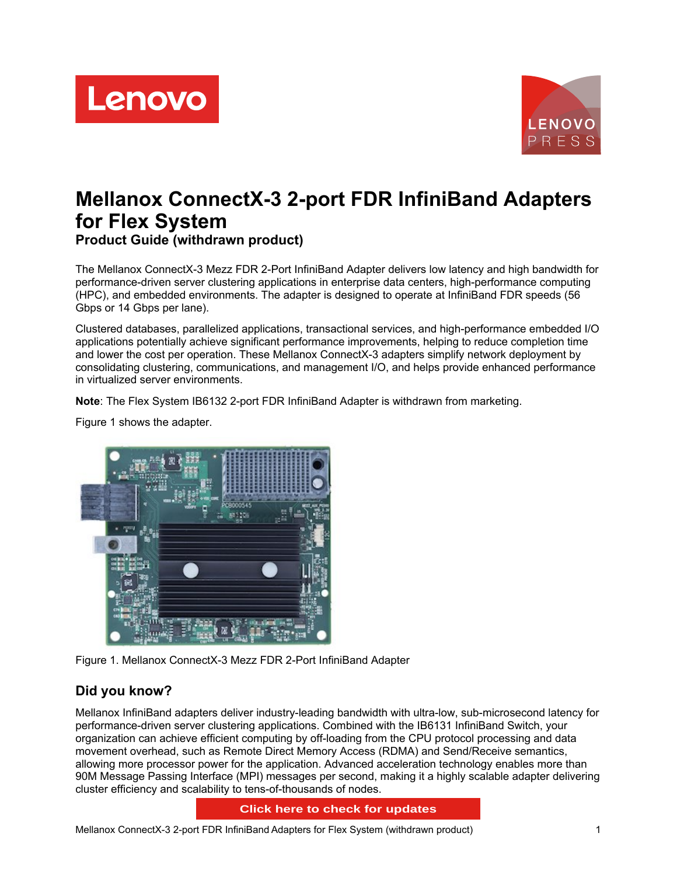



# **Mellanox ConnectX-3 2-port FDR InfiniBand Adapters for Flex System Product Guide (withdrawn product)**

The Mellanox ConnectX-3 Mezz FDR 2-Port InfiniBand Adapter delivers low latency and high bandwidth for performance-driven server clustering applications in enterprise data centers, high-performance computing (HPC), and embedded environments. The adapter is designed to operate at InfiniBand FDR speeds (56 Gbps or 14 Gbps per lane).

Clustered databases, parallelized applications, transactional services, and high-performance embedded I/O applications potentially achieve significant performance improvements, helping to reduce completion time and lower the cost per operation. These Mellanox ConnectX-3 adapters simplify network deployment by consolidating clustering, communications, and management I/O, and helps provide enhanced performance in virtualized server environments.

**Note**: The Flex System IB6132 2-port FDR InfiniBand Adapter is withdrawn from marketing.

Figure 1 shows the adapter.



Figure 1. Mellanox ConnectX-3 Mezz FDR 2-Port InfiniBand Adapter

# **Did you know?**

Mellanox InfiniBand adapters deliver industry-leading bandwidth with ultra-low, sub-microsecond latency for performance-driven server clustering applications. Combined with the IB6131 InfiniBand Switch, your organization can achieve efficient computing by off-loading from the CPU protocol processing and data movement overhead, such as Remote Direct Memory Access (RDMA) and Send/Receive semantics, allowing more processor power for the application. Advanced acceleration technology enables more than 90M Message Passing Interface (MPI) messages per second, making it a highly scalable adapter delivering cluster efficiency and scalability to tens-of-thousands of nodes.

#### **Click here to check for updates**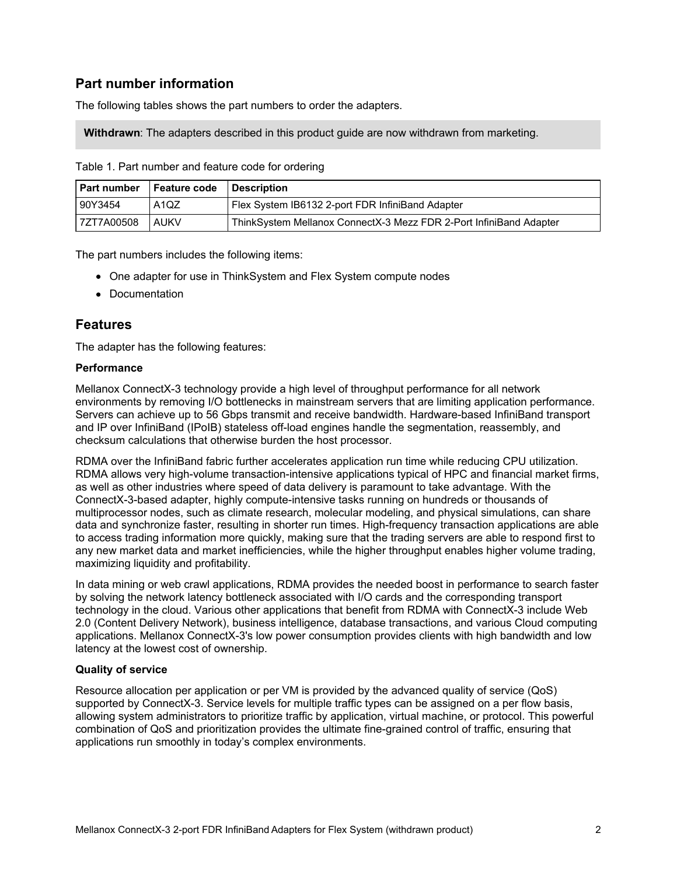# **Part number information**

The following tables shows the part numbers to order the adapters.

**Withdrawn**: The adapters described in this product guide are now withdrawn from marketing.

|            | Part number   Feature code   Description |                                                                    |
|------------|------------------------------------------|--------------------------------------------------------------------|
| 90Y3454    | . A1QZ                                   | Flex System IB6132 2-port FDR InfiniBand Adapter                   |
| 7ZT7A00508 | I AUKV                                   | ThinkSystem Mellanox ConnectX-3 Mezz FDR 2-Port InfiniBand Adapter |

Table 1. Part number and feature code for ordering

The part numbers includes the following items:

- One adapter for use in ThinkSystem and Flex System compute nodes
- Documentation

#### **Features**

The adapter has the following features:

#### **Performance**

Mellanox ConnectX-3 technology provide a high level of throughput performance for all network environments by removing I/O bottlenecks in mainstream servers that are limiting application performance. Servers can achieve up to 56 Gbps transmit and receive bandwidth. Hardware-based InfiniBand transport and IP over InfiniBand (IPoIB) stateless off-load engines handle the segmentation, reassembly, and checksum calculations that otherwise burden the host processor.

RDMA over the InfiniBand fabric further accelerates application run time while reducing CPU utilization. RDMA allows very high-volume transaction-intensive applications typical of HPC and financial market firms, as well as other industries where speed of data delivery is paramount to take advantage. With the ConnectX-3-based adapter, highly compute-intensive tasks running on hundreds or thousands of multiprocessor nodes, such as climate research, molecular modeling, and physical simulations, can share data and synchronize faster, resulting in shorter run times. High-frequency transaction applications are able to access trading information more quickly, making sure that the trading servers are able to respond first to any new market data and market inefficiencies, while the higher throughput enables higher volume trading, maximizing liquidity and profitability.

In data mining or web crawl applications, RDMA provides the needed boost in performance to search faster by solving the network latency bottleneck associated with I/O cards and the corresponding transport technology in the cloud. Various other applications that benefit from RDMA with ConnectX-3 include Web 2.0 (Content Delivery Network), business intelligence, database transactions, and various Cloud computing applications. Mellanox ConnectX-3's low power consumption provides clients with high bandwidth and low latency at the lowest cost of ownership.

#### **Quality of service**

Resource allocation per application or per VM is provided by the advanced quality of service (QoS) supported by ConnectX-3. Service levels for multiple traffic types can be assigned on a per flow basis, allowing system administrators to prioritize traffic by application, virtual machine, or protocol. This powerful combination of QoS and prioritization provides the ultimate fine-grained control of traffic, ensuring that applications run smoothly in today's complex environments.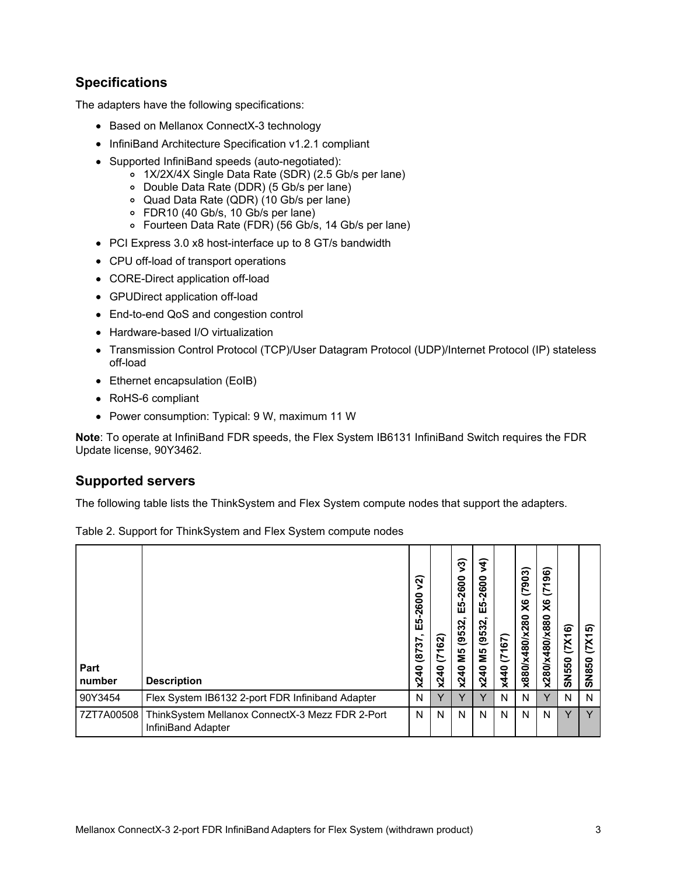# **Specifications**

The adapters have the following specifications:

- Based on Mellanox ConnectX-3 technology
- InfiniBand Architecture Specification v1.2.1 compliant
- Supported InfiniBand speeds (auto-negotiated):
	- 1X/2X/4X Single Data Rate (SDR) (2.5 Gb/s per lane)
	- Double Data Rate (DDR) (5 Gb/s per lane)
	- Quad Data Rate (QDR) (10 Gb/s per lane)
	- FDR10 (40 Gb/s, 10 Gb/s per lane)
	- Fourteen Data Rate (FDR) (56 Gb/s, 14 Gb/s per lane)
- PCI Express 3.0 x8 host-interface up to 8 GT/s bandwidth
- CPU off-load of transport operations
- CORE-Direct application off-load
- GPUDirect application off-load
- End-to-end QoS and congestion control
- Hardware-based I/O virtualization
- Transmission Control Protocol (TCP)/User Datagram Protocol (UDP)/Internet Protocol (IP) stateless off-load
- Ethernet encapsulation (EoIB)
- RoHS-6 compliant
- Power consumption: Typical: 9 W, maximum 11 W

**Note**: To operate at InfiniBand FDR speeds, the Flex System IB6131 InfiniBand Switch requires the FDR Update license, 90Y3462.

### **Supported servers**

The following table lists the ThinkSystem and Flex System compute nodes that support the adapters.

| Part<br>number | <b>Description</b>                                                                 | ସି<br>600<br>$\bar{\mathbf{N}}$<br><b>IQ</b><br>Ŵ<br>57<br>$\overline{18}$<br>x240 | (7162)<br>x240 | $\sqrt{3}$<br>600<br>$\bar{\mathbf{N}}$<br>'N.<br><b>SC</b><br>ш<br>(9532,<br>ន័<br>x240 | $\sqrt{4}$<br>$-2600$<br>LO.<br>ш<br>(9532,<br>ΣМ<br>x240 | 167)<br>ヒ<br>x440 | (7903)<br>$\times$<br>x880/x480/x280 | 96)<br>$\overline{ }$<br>$\overline{c}$<br>X6<br>x280/x480/x880 | (7X16)<br><b>SN550</b> | ົດ<br>᠇<br>$\overline{\mathsf{X}}$<br>850<br>ທ |
|----------------|------------------------------------------------------------------------------------|------------------------------------------------------------------------------------|----------------|------------------------------------------------------------------------------------------|-----------------------------------------------------------|-------------------|--------------------------------------|-----------------------------------------------------------------|------------------------|------------------------------------------------|
| 90Y3454        | Flex System IB6132 2-port FDR Infiniband Adapter                                   | N                                                                                  | Y              | Y                                                                                        | $\checkmark$                                              | N                 | N                                    | Y                                                               | N                      | N                                              |
|                | 7ZT7A00508   ThinkSystem Mellanox ConnectX-3 Mezz FDR 2-Port<br>InfiniBand Adapter | N                                                                                  | N              | N                                                                                        | N                                                         | N                 | N                                    | N                                                               | v                      | $\checkmark$                                   |

Table 2. Support for ThinkSystem and Flex System compute nodes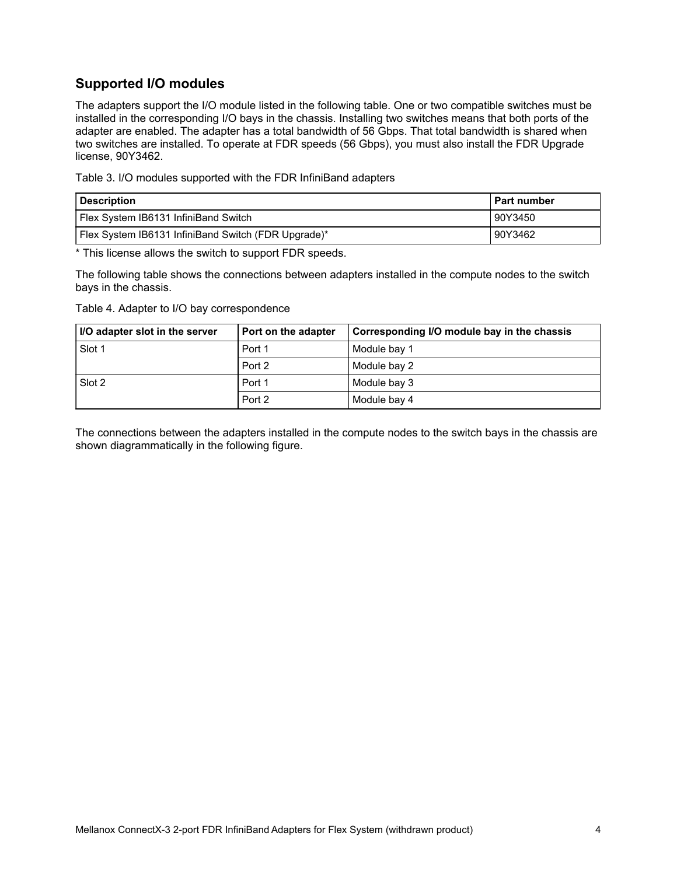# **Supported I/O modules**

The adapters support the I/O module listed in the following table. One or two compatible switches must be installed in the corresponding I/O bays in the chassis. Installing two switches means that both ports of the adapter are enabled. The adapter has a total bandwidth of 56 Gbps. That total bandwidth is shared when two switches are installed. To operate at FDR speeds (56 Gbps), you must also install the FDR Upgrade license, 90Y3462.

Table 3. I/O modules supported with the FDR InfiniBand adapters

| <b>Description</b>                                  | l Part number |
|-----------------------------------------------------|---------------|
| Flex System IB6131 InfiniBand Switch                | 90Y3450       |
| Flex System IB6131 InfiniBand Switch (FDR Upgrade)* | 90Y3462       |

\* This license allows the switch to support FDR speeds.

The following table shows the connections between adapters installed in the compute nodes to the switch bays in the chassis.

Table 4. Adapter to I/O bay correspondence

| I/O adapter slot in the server | <b>Port on the adapter</b> | Corresponding I/O module bay in the chassis |
|--------------------------------|----------------------------|---------------------------------------------|
| Slot 1                         | Port 1                     | Module bay 1                                |
|                                | Port 2                     | Module bay 2                                |
| Slot 2                         | Port 1                     | Module bay 3                                |
|                                | Port 2                     | Module bay 4                                |

The connections between the adapters installed in the compute nodes to the switch bays in the chassis are shown diagrammatically in the following figure.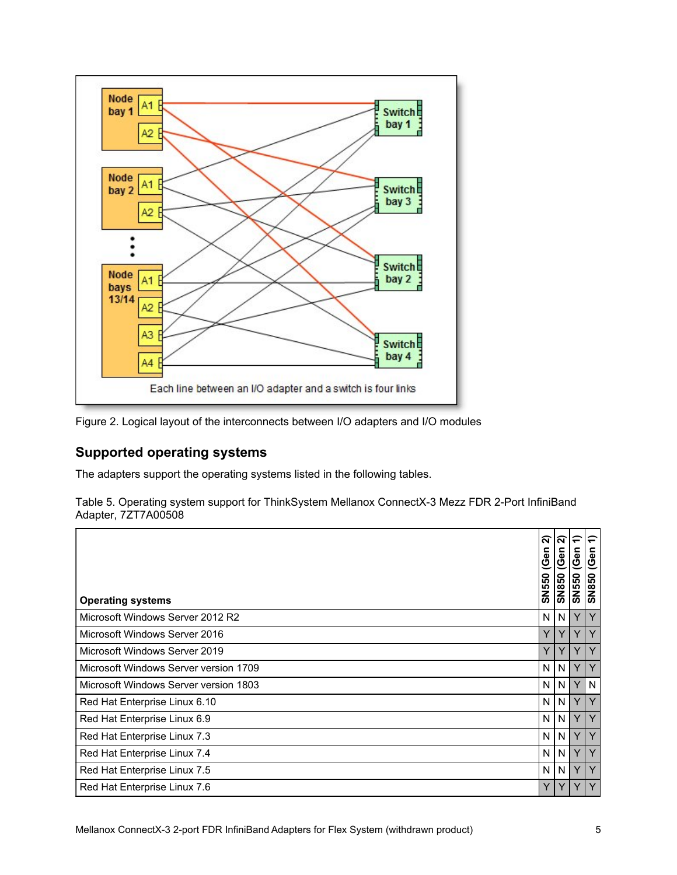

Figure 2. Logical layout of the interconnects between I/O adapters and I/O modules

# **Supported operating systems**

The adapters support the operating systems listed in the following tables.

Table 5. Operating system support for ThinkSystem Mellanox ConnectX-3 Mezz FDR 2-Port InfiniBand Adapter, 7ZT7A00508

| <b>Operating systems</b>              | $\alpha$<br>c<br>$\overline{\mathbf{a}}$<br>ಲ<br><b>SN550</b> | $\mathbf{\tilde{N}}$<br>(Gen<br><b>SN850</b> | $\overline{\phantom{0}}$<br>(Gen<br><b>SN550</b> | (Gen<br><b>SN850</b> |
|---------------------------------------|---------------------------------------------------------------|----------------------------------------------|--------------------------------------------------|----------------------|
| Microsoft Windows Server 2012 R2      | N                                                             | N <sub>1</sub>                               | Y                                                | Y                    |
| Microsoft Windows Server 2016         | Y                                                             | Y                                            | Y                                                |                      |
| Microsoft Windows Server 2019         | Y                                                             | Y                                            | Y                                                | Υ                    |
| Microsoft Windows Server version 1709 | N                                                             | N                                            | Y                                                | Υ                    |
| Microsoft Windows Server version 1803 | N.                                                            | N                                            | Y                                                | N                    |
| Red Hat Enterprise Linux 6.10         | N                                                             | N                                            | Y                                                | Y                    |
| Red Hat Enterprise Linux 6.9          | N                                                             | N                                            | Y                                                | Υ                    |
| Red Hat Enterprise Linux 7.3          | N.                                                            | N                                            | Y                                                | Υ                    |
| Red Hat Enterprise Linux 7.4          | N.                                                            | N <sub>1</sub>                               | Y                                                | Υ                    |
| Red Hat Enterprise Linux 7.5          | N                                                             | N.                                           | Y                                                | Y                    |
| Red Hat Enterprise Linux 7.6          | Y                                                             | Y                                            | Y                                                |                      |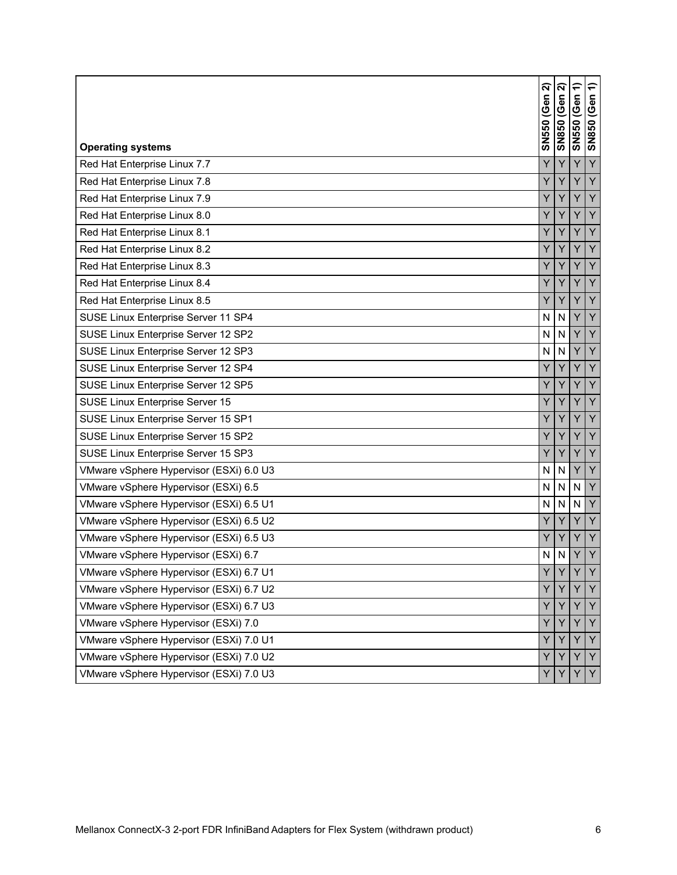| <b>Operating systems</b>                | ส<br>(Gen<br><b>SN550</b> | ส<br>(Gen<br><b>OS8NS</b> | ╤<br>(Gen<br><b>SN550</b> | ↽<br>(Gen<br><b>SN850</b> |
|-----------------------------------------|---------------------------|---------------------------|---------------------------|---------------------------|
| Red Hat Enterprise Linux 7.7            | Y                         | Y                         | Y                         | Y                         |
| Red Hat Enterprise Linux 7.8            | Ÿ                         | Y                         | Ÿ                         | Y                         |
| Red Hat Enterprise Linux 7.9            | Y                         | Υ                         | Υ                         | Y                         |
| Red Hat Enterprise Linux 8.0            | Ÿ                         | Y                         | Y                         | Y                         |
| Red Hat Enterprise Linux 8.1            | Y                         | Y                         | Y                         | Y                         |
| Red Hat Enterprise Linux 8.2            | Y                         | Y                         | Υ                         | Y                         |
| Red Hat Enterprise Linux 8.3            | Y                         | Y                         | Y                         | Y                         |
| Red Hat Enterprise Linux 8.4            | Y                         | Υ                         | Y                         | Y                         |
| Red Hat Enterprise Linux 8.5            | Y                         | Y                         | Y                         | Y                         |
| SUSE Linux Enterprise Server 11 SP4     | N                         | N                         | Y                         | Y                         |
| SUSE Linux Enterprise Server 12 SP2     | N                         | $\mathsf{N}$              | Ý                         | Y                         |
| SUSE Linux Enterprise Server 12 SP3     | N                         | ${\sf N}$                 | Y                         | Y                         |
| SUSE Linux Enterprise Server 12 SP4     | Y                         | Y                         | Y                         | Y                         |
| SUSE Linux Enterprise Server 12 SP5     | Y                         | Y                         | Y                         | Y                         |
| SUSE Linux Enterprise Server 15         | Y                         | Y                         | Y                         | Y                         |
| SUSE Linux Enterprise Server 15 SP1     | Y                         | Y                         | Y                         | Y                         |
| SUSE Linux Enterprise Server 15 SP2     | Υ                         | Υ                         | Υ                         | Y                         |
| SUSE Linux Enterprise Server 15 SP3     | Y                         | Y                         | Y                         | Y                         |
| VMware vSphere Hypervisor (ESXi) 6.0 U3 | N                         | ${\sf N}$                 | Υ                         | Y                         |
| VMware vSphere Hypervisor (ESXi) 6.5    | N                         | $\mathsf{N}$              | N                         | Y                         |
| VMware vSphere Hypervisor (ESXi) 6.5 U1 | N                         | $\mathsf{N}$              | N                         | Y                         |
| VMware vSphere Hypervisor (ESXi) 6.5 U2 | Ÿ                         | Y                         | Y                         | Y                         |
| VMware vSphere Hypervisor (ESXi) 6.5 U3 | Y                         | Y                         | Y                         | Y                         |
| VMware vSphere Hypervisor (ESXi) 6.7    | N                         | N                         | Υ                         | Υ                         |
| VMware vSphere Hypervisor (ESXi) 6.7 U1 | Y                         | $\vee$                    | $\overline{V}$            | $\vee$                    |
| VMware vSphere Hypervisor (ESXi) 6.7 U2 | Y                         | Y                         | Y                         | Y                         |
| VMware vSphere Hypervisor (ESXi) 6.7 U3 | Y                         | Y                         |                           | Y                         |
| VMware vSphere Hypervisor (ESXi) 7.0    | Y                         | Υ                         | Y                         | Y                         |
| VMware vSphere Hypervisor (ESXi) 7.0 U1 | Υ                         | Υ                         | Y                         | Y                         |
| VMware vSphere Hypervisor (ESXi) 7.0 U2 | Y                         | Υ                         | Y                         | Y                         |
| VMware vSphere Hypervisor (ESXi) 7.0 U3 | Υ                         | Y                         | Y                         | Y                         |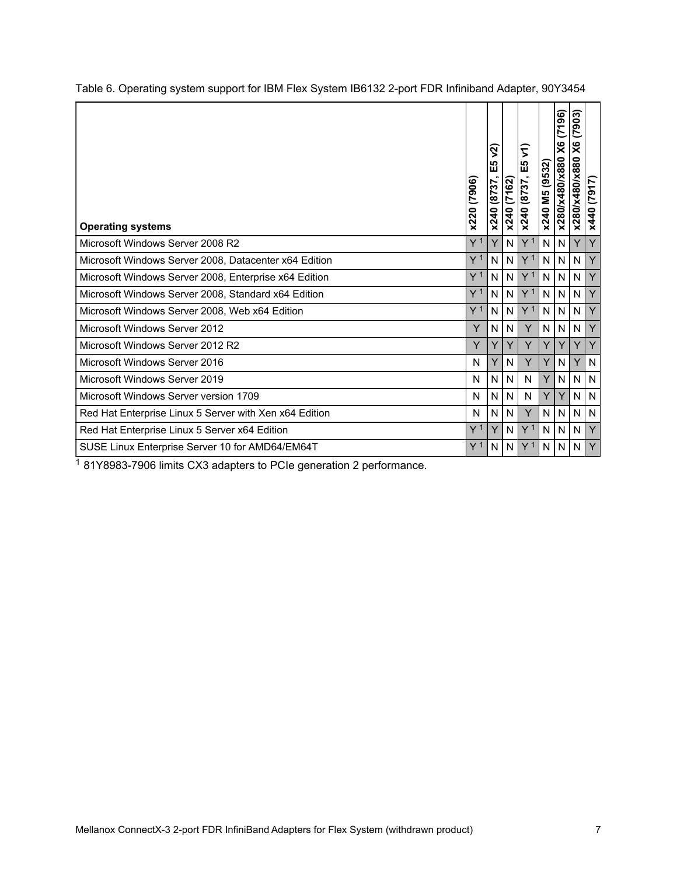| <b>Operating systems</b>                               | (7906)<br>x220 | ୖଽ<br>ഥ<br>ш<br>x240 (8737 | x240 (7162)  | 2<br>E5<br>x240 (8737, | (9532)<br>x240 M5 | (96)<br>Ć<br>X6<br>x280/x480/x880 | (7903)<br>X6<br>x280/x480/x880 | (7917)<br>x440 |
|--------------------------------------------------------|----------------|----------------------------|--------------|------------------------|-------------------|-----------------------------------|--------------------------------|----------------|
| Microsoft Windows Server 2008 R2                       | Y 1            | Y                          | N            | Y <sup>1</sup>         | N                 | $\mathsf{N}$                      | Y                              | Y              |
| Microsoft Windows Server 2008, Datacenter x64 Edition  | Y <sup>1</sup> | N                          | N            | Y <sup>1</sup>         | N                 | $\mathsf{N}$                      | $\mathsf{N}$                   | Y              |
| Microsoft Windows Server 2008, Enterprise x64 Edition  | Y <sup>1</sup> | N                          | N            | Y <sup>1</sup>         | N.                | $\mathsf{N}$                      | $\mathsf{N}$                   | Y              |
| Microsoft Windows Server 2008, Standard x64 Edition    | Y <sup>1</sup> | N                          | N            | Y <sup>1</sup>         | N                 | N                                 | N                              | Y              |
| Microsoft Windows Server 2008, Web x64 Edition         | Y <sup>1</sup> | N                          | N            | Y <sup>1</sup>         | N.                | N                                 | N                              | Y              |
| Microsoft Windows Server 2012                          | Y              | N                          | $\mathsf{N}$ | Y                      | N.                | $\mathsf{N}$                      | $\mathsf{N}$                   | Y              |
| Microsoft Windows Server 2012 R2                       | Y              | Y                          | Y            | Y                      | Y                 | Y                                 | Y                              | Y              |
| Microsoft Windows Server 2016                          | N              | Υ                          | N            | Y                      | Y                 | N                                 | Y                              | $\mathsf{N}$   |
| Microsoft Windows Server 2019                          | N              | N                          | N            | N                      | Y                 | N                                 | $\mathsf{N}$                   | $\mathsf{N}$   |
| Microsoft Windows Server version 1709                  | N              | N                          | N            | N                      | Y                 | Y                                 | N                              | $\mathsf{N}$   |
| Red Hat Enterprise Linux 5 Server with Xen x64 Edition | N              | N                          | N            | Y                      | N                 | N                                 | N                              | N              |
| Red Hat Enterprise Linux 5 Server x64 Edition          | Y 1            | Y                          | N            | Y <sup>1</sup>         | N                 | N                                 | N                              | Y              |
| SUSE Linux Enterprise Server 10 for AMD64/EM64T        | Y 1            | N                          | N            | Y <sup>1</sup>         | N                 | N                                 | N                              | Y              |

Table 6. Operating system support for IBM Flex System IB6132 2-port FDR Infiniband Adapter, 90Y3454

 $1$  81Y8983-7906 limits CX3 adapters to PCIe generation 2 performance.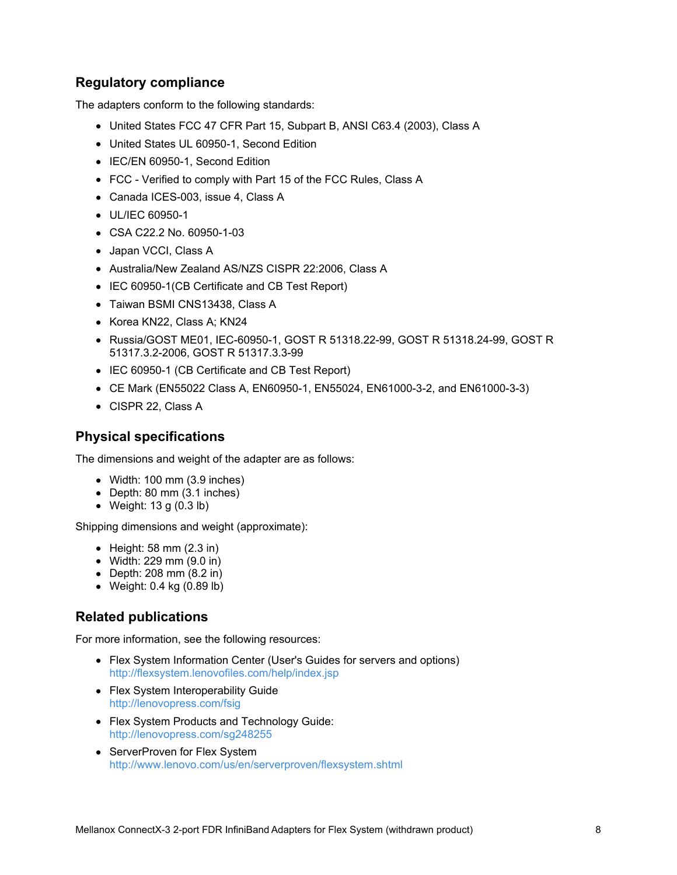### **Regulatory compliance**

The adapters conform to the following standards:

- United States FCC 47 CFR Part 15, Subpart B, ANSI C63.4 (2003), Class A
- United States UL 60950-1, Second Edition
- IEC/EN 60950-1, Second Edition
- FCC Verified to comply with Part 15 of the FCC Rules, Class A
- Canada ICES-003, issue 4, Class A
- UL/IEC 60950-1
- CSA C22.2 No. 60950-1-03
- Japan VCCI, Class A
- Australia/New Zealand AS/NZS CISPR 22:2006, Class A
- IEC 60950-1(CB Certificate and CB Test Report)
- Taiwan BSMI CNS13438, Class A
- Korea KN22, Class A; KN24
- Russia/GOST ME01, IEC-60950-1, GOST R 51318.22-99, GOST R 51318.24-99, GOST R 51317.3.2-2006, GOST R 51317.3.3-99
- IEC 60950-1 (CB Certificate and CB Test Report)
- CE Mark (EN55022 Class A, EN60950-1, EN55024, EN61000-3-2, and EN61000-3-3)
- CISPR 22, Class A

#### **Physical specifications**

The dimensions and weight of the adapter are as follows:

- Width: 100 mm (3.9 inches)
- Depth: 80 mm (3.1 inches)
- Weight: 13 g (0.3 lb)

Shipping dimensions and weight (approximate):

- $\bullet$  Height: 58 mm (2.3 in)
- Width: 229 mm (9.0 in)
- Depth: 208 mm (8.2 in)
- Weight: 0.4 kg (0.89 lb)

### **Related publications**

For more information, see the following resources:

- Flex System Information Center (User's Guides for servers and options) <http://flexsystem.lenovofiles.com/help/index.jsp>
- Flex System Interoperability Guide <http://lenovopress.com/fsig>
- Flex System Products and Technology Guide: <http://lenovopress.com/sg248255>
- ServerProven for Flex System <http://www.lenovo.com/us/en/serverproven/flexsystem.shtml>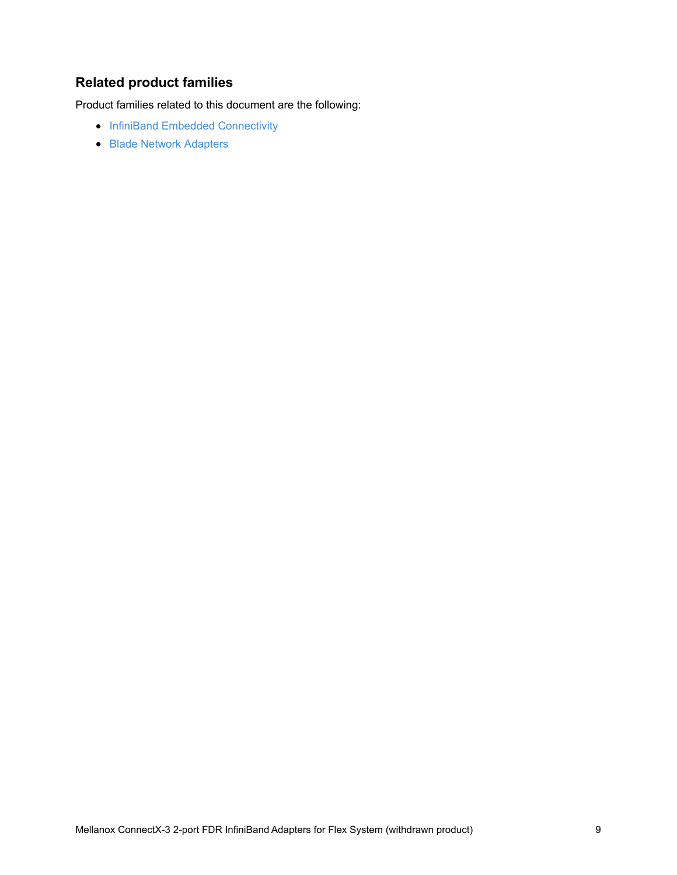# **Related product families**

Product families related to this document are the following:

- InfiniBand Embedded [Connectivity](https://lenovopress.com/networking/embedded/infiniband)
- Blade Network [Adapters](https://lenovopress.com/servers/blades/nic)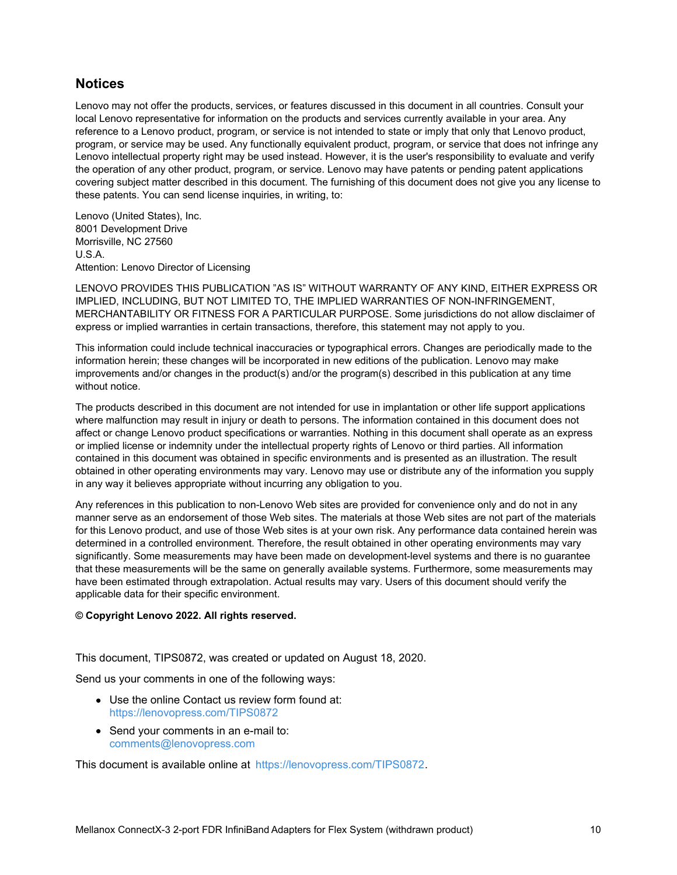#### **Notices**

Lenovo may not offer the products, services, or features discussed in this document in all countries. Consult your local Lenovo representative for information on the products and services currently available in your area. Any reference to a Lenovo product, program, or service is not intended to state or imply that only that Lenovo product, program, or service may be used. Any functionally equivalent product, program, or service that does not infringe any Lenovo intellectual property right may be used instead. However, it is the user's responsibility to evaluate and verify the operation of any other product, program, or service. Lenovo may have patents or pending patent applications covering subject matter described in this document. The furnishing of this document does not give you any license to these patents. You can send license inquiries, in writing, to:

Lenovo (United States), Inc. 8001 Development Drive Morrisville, NC 27560 U.S.A. Attention: Lenovo Director of Licensing

LENOVO PROVIDES THIS PUBLICATION "AS IS" WITHOUT WARRANTY OF ANY KIND, EITHER EXPRESS OR IMPLIED, INCLUDING, BUT NOT LIMITED TO, THE IMPLIED WARRANTIES OF NON-INFRINGEMENT, MERCHANTABILITY OR FITNESS FOR A PARTICULAR PURPOSE. Some jurisdictions do not allow disclaimer of express or implied warranties in certain transactions, therefore, this statement may not apply to you.

This information could include technical inaccuracies or typographical errors. Changes are periodically made to the information herein; these changes will be incorporated in new editions of the publication. Lenovo may make improvements and/or changes in the product(s) and/or the program(s) described in this publication at any time without notice.

The products described in this document are not intended for use in implantation or other life support applications where malfunction may result in injury or death to persons. The information contained in this document does not affect or change Lenovo product specifications or warranties. Nothing in this document shall operate as an express or implied license or indemnity under the intellectual property rights of Lenovo or third parties. All information contained in this document was obtained in specific environments and is presented as an illustration. The result obtained in other operating environments may vary. Lenovo may use or distribute any of the information you supply in any way it believes appropriate without incurring any obligation to you.

Any references in this publication to non-Lenovo Web sites are provided for convenience only and do not in any manner serve as an endorsement of those Web sites. The materials at those Web sites are not part of the materials for this Lenovo product, and use of those Web sites is at your own risk. Any performance data contained herein was determined in a controlled environment. Therefore, the result obtained in other operating environments may vary significantly. Some measurements may have been made on development-level systems and there is no guarantee that these measurements will be the same on generally available systems. Furthermore, some measurements may have been estimated through extrapolation. Actual results may vary. Users of this document should verify the applicable data for their specific environment.

#### **© Copyright Lenovo 2022. All rights reserved.**

This document, TIPS0872, was created or updated on August 18, 2020.

Send us your comments in one of the following ways:

- Use the online Contact us review form found at: <https://lenovopress.com/TIPS0872>
- Send your comments in an e-mail to: [comments@lenovopress.com](mailto:comments@lenovopress.com?subject=Feedback for TIPS0872)

This document is available online at <https://lenovopress.com/TIPS0872>.